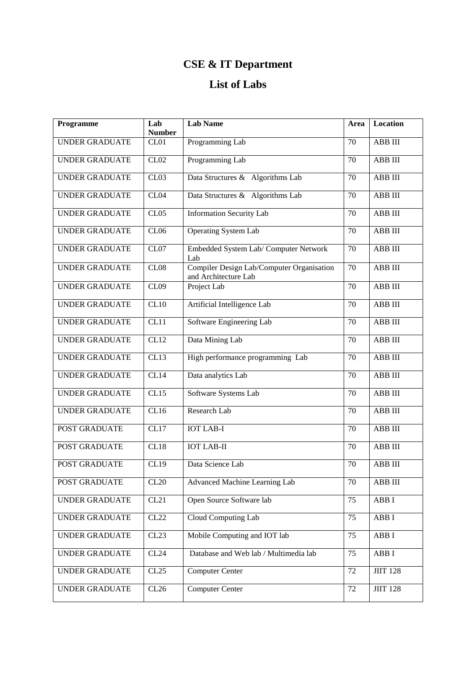## **CSE & IT Department**

## **List of Labs**

| Programme             | Lab<br><b>Number</b> | <b>Lab Name</b>                                                   | Area            | Location           |
|-----------------------|----------------------|-------------------------------------------------------------------|-----------------|--------------------|
| <b>UNDER GRADUATE</b> | CL01                 | Programming Lab                                                   | 70              | ABB III            |
| <b>UNDER GRADUATE</b> | CL02                 | Programming Lab                                                   | 70              | ABB III            |
| <b>UNDER GRADUATE</b> | CL03                 | Data Structures & Algorithms Lab                                  | 70              | ABB III            |
| <b>UNDER GRADUATE</b> | CL04                 | Data Structures & Algorithms Lab                                  | 70              | ABB III            |
| <b>UNDER GRADUATE</b> | CL05                 | <b>Information Security Lab</b>                                   | 70              | ABB III            |
| <b>UNDER GRADUATE</b> | CL06                 | <b>Operating System Lab</b>                                       | 70              | ABB III            |
| <b>UNDER GRADUATE</b> | CL07                 | Embedded System Lab/ Computer Network<br>Lab                      | 70              | ABB III            |
| <b>UNDER GRADUATE</b> | CL08                 | Compiler Design Lab/Computer Organisation<br>and Architecture Lab | 70              | ABB III            |
| <b>UNDER GRADUATE</b> | CL09                 | Project Lab                                                       | 70              | ABB III            |
| <b>UNDER GRADUATE</b> | CL10                 | Artificial Intelligence Lab                                       | $\overline{70}$ | <b>ABB</b> III     |
| <b>UNDER GRADUATE</b> | CL11                 | Software Engineering Lab                                          | 70              | ABB III            |
| <b>UNDER GRADUATE</b> | CL12                 | Data Mining Lab                                                   | 70              | ABB III            |
| <b>UNDER GRADUATE</b> | CL13                 | High performance programming Lab                                  | $\overline{7}0$ | ABB III            |
| <b>UNDER GRADUATE</b> | CL14                 | Data analytics Lab                                                | 70              | $ABB$ $III$        |
| <b>UNDER GRADUATE</b> | CL15                 | Software Systems Lab                                              | 70              | ABB III            |
| <b>UNDER GRADUATE</b> | CL16                 | Research Lab                                                      | 70              | ABB III            |
| POST GRADUATE         | CL17                 | <b>IOT LAB-I</b>                                                  | 70              | ABB III            |
| POST GRADUATE         | CL18                 | <b>IOT LAB-II</b>                                                 | 70              | ABB III            |
| <b>POST GRADUATE</b>  | CL19                 | Data Science Lab                                                  | 70              | ABB III            |
| POST GRADUATE         | CL20                 | Advanced Machine Learning Lab                                     | 70              | ABB III            |
| UNDER GRADUATE        | CL21                 | Open Source Software lab                                          | 75              | ABB I              |
| <b>UNDER GRADUATE</b> | CL22                 | Cloud Computing Lab                                               | 75              | ABB I              |
| <b>UNDER GRADUATE</b> | CL23                 | Mobile Computing and IOT lab                                      | 75              | $ABB$ <sup>I</sup> |
| <b>UNDER GRADUATE</b> | CL24                 | Database and Web lab / Multimedia lab                             | 75              | ABB I              |
| <b>UNDER GRADUATE</b> | CL25                 | <b>Computer Center</b>                                            | 72              | <b>JIIT 128</b>    |
| <b>UNDER GRADUATE</b> | CL26                 | <b>Computer Center</b>                                            | 72              | <b>JIIT 128</b>    |